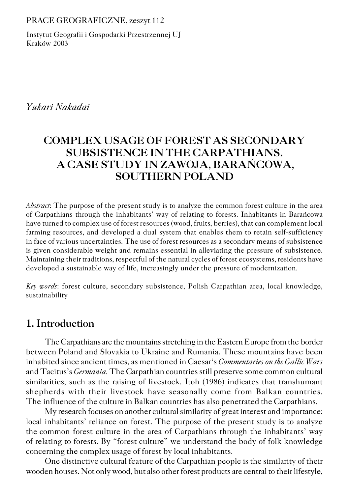#### PRACE GEOGRAFICZNE, zeszyt 112

Instytut Geografii i Gospodarki Przestrzennej UJ Kraków 2003

*Yukari Nakadai*

# **COMPLEX USAGE OF FOREST AS SECONDARY SUBSISTENCE IN THE CARPATHIANS. A CASE STUDY IN ZAWOJA, BARAŃCOWA, SOUTHERN POLAND**

*Abstract*: The purpose of the present study is to analyze the common forest culture in the area of Carpathians through the inhabitants' way of relating to forests. Inhabitants in Barańcowa have turned to complex use of forest resources (wood, fruits, berries), that can complement local farming resources, and developed a dual system that enables them to retain self−sufficiency in face of various uncertainties. The use of forest resources as a secondary means of subsistence is given considerable weight and remains essential in alleviating the pressure of subsistence. Maintaining their traditions, respectful of the natural cycles of forest ecosystems, residents have developed a sustainable way of life, increasingly under the pressure of modernization.

*Key words*: forest culture, secondary subsistence, Polish Carpathian area, local knowledge, sustainability

## **1. Introduction**

The Carpathians are the mountains stretching in the Eastern Europe from the border between Poland and Slovakia to Ukraine and Rumania. These mountains have been inhabited since ancient times, as mentioned in Caesar's *Commentaries on the Gallic Wars* and Tacitus's *Germania*. The Carpathian countries still preserve some common cultural similarities, such as the raising of livestock. Itoh (1986) indicates that transhumant shepherds with their livestock have seasonally come from Balkan countries. The influence of the culture in Balkan countries has also penetrated the Carpathians.

My research focuses on another cultural similarity of great interest and importance: local inhabitants' reliance on forest. The purpose of the present study is to analyze the common forest culture in the area of Carpathians through the inhabitants' way of relating to forests. By "forest culture" we understand the body of folk knowledge concerning the complex usage of forest by local inhabitants.

One distinctive cultural feature of the Carpathian people is the similarity of their wooden houses. Not only wood, but also other forest products are central to their lifestyle,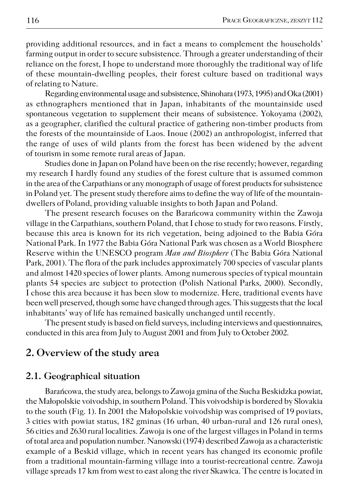providing additional resources, and in fact a means to complement the households' farming output in order to secure subsistence. Through a greater understanding of their reliance on the forest, I hope to understand more thoroughly the traditional way of life of these mountain−dwelling peoples, their forest culture based on traditional ways of relating to Nature.

Regarding environmental usage and subsistence, Shinohara (1973, 1995) and Oka (2001) as ethnographers mentioned that in Japan, inhabitants of the mountainside used spontaneous vegetation to supplement their means of subsistence. Yokoyama (2002), as a geographer, clarified the cultural practice of gathering non−timber products from the forests of the mountainside of Laos. Inoue  $(2002)$  an anthropologist, inferred that the range of uses of wild plants from the forest has been widened by the advent of tourism in some remote rural areas of Japan.

Studies done in Japan on Poland have been on the rise recently; however, regarding my research I hardly found any studies of the forest culture that is assumed common in the area of the Carpathians or any monograph of usage of forest products for subsistence in Poland yet. The present study therefore aims to define the way of life of the mountain− dwellers of Poland, providing valuable insights to both Japan and Poland.

The present research focuses on the Barańcowa community within the Zawoja village in the Carpathians, southern Poland, that I chose to study for two reasons. Firstly, because this area is known for its rich vegetation, being adjoined to the Babia Góra National Park. In 1977 the Babia Góra National Park was chosen as a World Biosphere Reserve within the UNESCO program *Man and Biosphere* (The Babia Góra National Park, 2001). The flora of the park includes approximately 700 species of vascular plants and almost 1420 species of lower plants. Among numerous species of typical mountain plants 54 species are subject to protection (Polish National Parks, 2000). Secondly, I chose this area because it has been slow to modernize. Here, traditional events have been well preserved, though some have changed through ages. This suggests that thelocal inhabitants' way of life has remained basically unchanged until recently.

The present study is based on field surveys, including interviews and questionnaires, conducted in this area from July to August 2001 and from July to October 2002.

#### **2. Overview of the study area**

#### **2.1. Geographical situation**

Barańcowa, the study area, belongs to Zawoja gmina of the Sucha Beskidzka powiat, the Małopolskie voivodship, in southern Poland. This voivodship is bordered by Slovakia to the south (Fig. 1). In 2001 the Małopolskie voivodship was comprised of 19 poviats, 3 cities with powiat status, 182 gminas (16 urban, 40 urban−rural and 126 rural ones), 56 cities and 2630 rural localities. Zawoja is one of the largest villages in Poland in terms of total area and population number. Nanowski (1974) described Zawoja as a characteristic example of a Beskid village, which in recent years has changed its economic profile from a traditional mountain−farming village into a tourist−recreational centre. Zawoja village spreads 17 km from west to east along the river Skawica. The centre is located in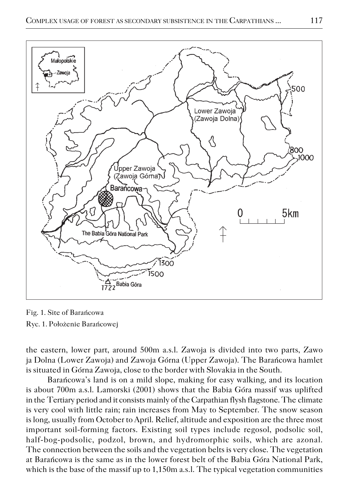

Fig. 1. Site of Barańcowa Ryc. 1. Położenie Barańcowej

the eastern, lower part, around 500m a.s.l. Zawoja is divided into two parts, Zawo ja Dolna (Lower Zawoja) and Zawoja Górna (Upper Zawoja). The Barańcowa hamlet is situated in Górna Zawoja, close to the border with Slovakia in the South.

 Barańcowa's land is on a mild slope, making for easy walking, and its location is about 700m a.s.l. Lamorski (2001) shows that the Babia Góra massif was uplifted in the Tertiary period and it consists mainly of the Carpathian flysh flagstone. The climate is very cool with little rain; rain increases from May to September. The snow season is long, usually from October to April. Relief, altitude and exposition are the three most important soil−forming factors. Existing soil types include regosol, podsolic soil, half−bog−podsolic, podzol, brown, and hydromorphic soils, which are azonal. The connection between the soils and the vegetation belts is very close. The vegetation at Barańcowa is the same as in the lower forest belt of the Babia Góra National Park, which is the base of the massif up to 1,150m a.s.l. The typical vegetation communities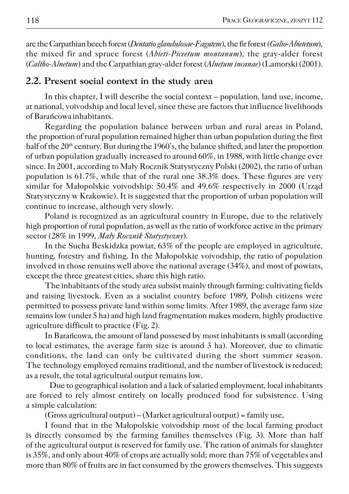are the Carpathian beech forest (*Dentatio glandulosae−Fagutem*), the fir forest (*Galio−Abietetum*), the mixed fir and spruce forest (*Abieti−Piceetum montanum*), the gray−alder forest (*Caltho−Alnetum*) and the Carpathian gray−alder forest (*Alnetum incanae*) (Lamorski (2001).

#### **2.2. Present social context in the study area**

In this chapter, I will describe the social context – population, land use, income, at national, voivodship and local level, since these are factors that influence livelihoods of Barańcowainhabitants.

Regarding the population balance between urban and rural areas in Poland, the proportion of rural population remained higher than urban population during the first half of the 20<sup>th</sup> century. But during the 1960's, the balance shifted, and later the proportion of urban population gradually increased to around 60%, in 1988, with little change ever since. In 2001, according to Mały Rocznik Statystyczny Polski (2002), the ratio of urban population is 61.7%, while that of the rural one 38.3% does. These figures are very similar for Małopolskie voivodship: 50.4% and 49.6% respectively in 2000 (Urząd Statystyczny w Krakowie). It is suggested that the proportion of urban population will continue to increase, although very slowly.

Poland is recognized as an agricultural country in Europe, due to the relatively high proportion of rural population, as well as the ratio of workforce active in the primary sector (28% in 1999, *Mały Rocznik Statystyczny*).

In the Sucha Beskidzka powiat, 63% of the people are employed in agriculture, hunting, forestry and fishing. In the Małopolskie voivodship, the ratio of population involved in those remains well above the national average (34%), and most of powiats, except the three greatest cities, share this high ratio.

The inhabitants of the study area subsist mainly through farming: cultivating fields and raising livestock. Even as a socialist country before 1989, Polish citizens were permitted to possess private land within some limits. After 1989, the average farm size remains low (under 5 ha) and high land fragmentation makes modern, highly productive agriculture difficult to practice (Fig. 2).

In Barańcowa, the amount of land possesed by most inhabitants is small (according to local estimates, the average farm size is around 3 ha). Moreover, due to climatic conditions, the land can only be cultivated during the short summer season. The technology employed remains traditional, and the number of livestock is reduced; as a result, the total agricultural output remains low.

Due to geographical isolation and a lack of salaried employment, local inhabitants are forced to rely almost entirely on locally produced food for subsistence. Using a simple calculation:

(Gross agricultural output) – (Market agricultural output) = family use,

I found that in the Małopolskie voivodship most of the local farming product is directly consumed by the farming families themselves (Fig. 3). More than half of the agricultural output is reserved for family use. The ration of animals for slaughter is 35%, and only about 40% of crops are actually sold; more than 75% of vegetables and more than 80% of fruits are in fact consumed by the growers themselves. This suggests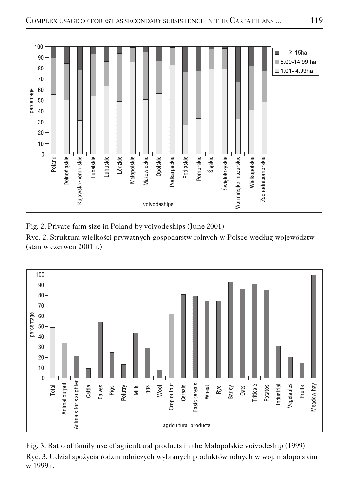

Fig. 2. Private farm size in Poland by voivodeships (June 2001)

Ryc. 2. Struktura wielkości prywatnych gospodarstw rolnych w Polsce według województw (stan w czerwcu 2001 r.)



Fig. 3. Ratio of family use of agricultural products in the Małopolskie voivodeship (1999) Ryc. 3. Udział spożycia rodzin rolniczych wybranych produktów rolnych w woj. małopolskim w 1999 r.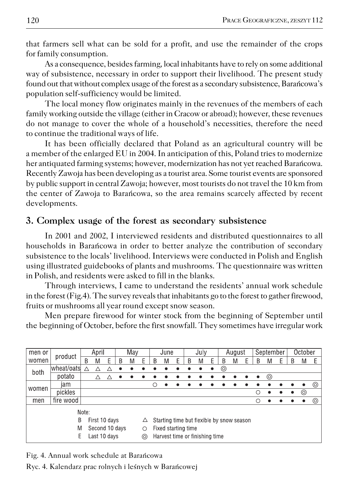that farmers sell what can be sold for a profit, and use the remainder of the crops for family consumption.

As a consequence, besides farming, local inhabitants have to rely on some additional way of subsistence, necessary in order to support their livelihood. The present study found out that without complex usage of the forest as a secondary subsistence, Barańcowa's population self−sufficiency would be limited.

The local money flow originates mainly in the revenues of the members of each family working outside the village (either in Cracow or abroad); however, these revenues do not manage to cover the whole of a household's necessities, therefore the need to continue the traditional ways of life.

It has been officially declared that Poland as an agricultural country will be a member of the enlarged EU in 2004. In anticipation of this, Poland tries to modernize her antiquated farming systems; however, modernization has not yet reached Barańcowa. Recently Zawoja has been developing as a tourist area. Some tourist events are sponsored by public support in central Zawoja; however, most tourists do not travel the 10 km from the center of Zawoja to Barańcowa, so the area remains scarcely affected by recent developments.

### **3. Complex usage of the forest as secondary subsistence**

In 2001 and 2002, I interviewed residents and distributed questionnaires to all households in Barańcowa in order to better analyze the contribution of secondary subsistence to the locals' livelihood. Interviews were conducted in Polish and English using illustrated guidebooks of plants and mushrooms. The questionnaire was written in Polish, and residents were asked to fill in the blanks.

Through interviews, I came to understand the residents' annual work schedule in the forest (Fig.4). The survey reveals that inhabitants go to the forest to gather firewood, fruits or mushrooms all year round except snow season.

Men prepare firewood for winter stock from the beginning of September until the beginning of October, before the first snowfall. They sometimes have irregular work

| men or                                                               |                                                          | April |   |   | May |                     | June |   | July |   | August |   | September |   |   | October |   |   |   |   |   |   |
|----------------------------------------------------------------------|----------------------------------------------------------|-------|---|---|-----|---------------------|------|---|------|---|--------|---|-----------|---|---|---------|---|---|---|---|---|---|
| product<br>women                                                     | B                                                        | M     | F | В | M   | E                   | B    | M | Е    | B | M      | F | В         | M | E | B       | M | Ε | В | M |   |   |
| both                                                                 | wheat/oats                                               | Λ     |   |   |     |                     |      |   |      |   |        |   |           | ⊚ |   |         |   |   |   |   |   |   |
|                                                                      | potato                                                   |       | Δ |   |     |                     |      |   |      |   |        |   |           |   |   |         | ٠ | ⊚ |   |   |   |   |
| women                                                                | jam                                                      |       |   |   |     |                     |      |   |      |   |        |   |           |   |   |         |   |   |   |   |   | ⊚ |
|                                                                      | pickles                                                  |       |   |   |     |                     |      |   |      |   |        |   |           |   |   |         | С | ٠ |   |   | ⊚ |   |
| men                                                                  | fire wood                                                |       |   |   |     |                     |      |   |      |   |        |   |           |   |   |         | С |   |   |   |   | ⊚ |
| Note:                                                                |                                                          |       |   |   |     |                     |      |   |      |   |        |   |           |   |   |         |   |   |   |   |   |   |
| First 10 days<br>B<br>Starting time but flexible by snow season<br>Δ |                                                          |       |   |   |     |                     |      |   |      |   |        |   |           |   |   |         |   |   |   |   |   |   |
| Second 10 days<br>M                                                  |                                                          |       |   |   | О   | Fixed starting time |      |   |      |   |        |   |           |   |   |         |   |   |   |   |   |   |
|                                                                      | Last 10 days<br>F<br>Harvest time or finishing time<br>⊚ |       |   |   |     |                     |      |   |      |   |        |   |           |   |   |         |   |   |   |   |   |   |

Fig. 4. Annual work schedule at Barańcowa

Ryc. 4. Kalendarz prac rolnych i leśnych w Barańcowej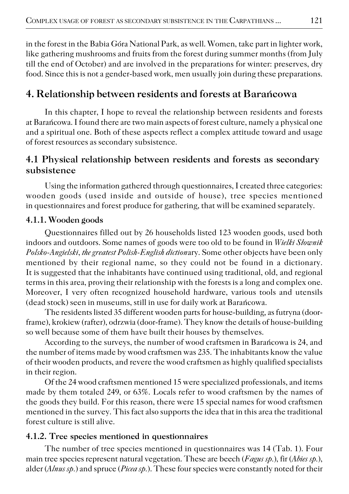in the forest in the Babia Góra National Park, as well. Women, take part in lighter work, like gathering mushrooms and fruits from the forest during summer months (from July till the end of October) and are involved in the preparations for winter: preserves, dry food. Since this is not a gender−based work, men usually join during these preparations.

# **4. Relationship between residents and forests at Barańcowa**

In this chapter, I hope to reveal the relationship between residents and forests at Barańcowa. I found there are two main aspects of forest culture, namely a physical one and a spiritual one. Both of these aspects reflect a complex attitude toward and usage of forest resources as secondary subsistence.

## **4.1 Physical relationship between residents and forests as secondary subsistence**

Using the information gathered through questionnaires, I created three categories: wooden goods (used inside and outside of house), tree species mentioned in questionnaires and forest produce for gathering, that will be examined separately.

### **4.1.1. Wooden goods**

Questionnaires filled out by 26 households listed 123 wooden goods, used both indoors and outdoors. Some names of goods were too old to be found in *Wielki Słownik Polsko−Angielski*, *the greatest Polish−English diction*ary. Some other objects have been only mentioned by their regional name, so they could not be found in a dictionary. It is suggested that the inhabitants have continued using traditional, old, and regional terms in this area, proving their relationship with the forests is a long and complex one. Moreover, I very often recognized household hardware, various tools and utensils (dead stock) seen in museums, still in use for daily work at Barańcowa.

The residents listed 35 different wooden parts for house−building, as futryna (door− frame), krokiew (rafter), odrzwia (door−frame). They know the details of house−building so well because some of them have built their houses by themselves.

According to the surveys, the number of wood craftsmen in Barańcowa is 24, and the number of items made by wood craftsmen was 235. The inhabitants know the value of their wooden products, and revere the wood craftsmen as highly qualified specialists in their region.

Of the 24 wood craftsmen mentioned 15 were specialized professionals, and items made by them totaled 249, or 63%. Locals refer to wood craftsmen by the names of the goods they build. For this reason, there were 15 special names for wood craftsmen mentioned in the survey. This fact also supports the idea that in this area the traditional forest culture is still alive.

### **4.1.2. Tree species mentioned in questionnaires**

The number of tree species mentioned in questionnaires was 14 (Tab. 1). Four main tree species represent natural vegetation. These are beech (*Fagus sp.*), fir (*Abies sp.*), alder (*Alnus sp.*) and spruce (*Picea sp.*). These four species were constantly noted for their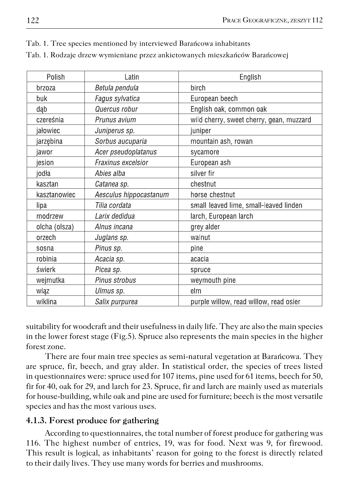| Polish        | Latin                  | English                                  |  |  |  |  |
|---------------|------------------------|------------------------------------------|--|--|--|--|
| brzoza        | Betula pendula         | birch                                    |  |  |  |  |
| buk           | Fagus sylvatica        | European beech                           |  |  |  |  |
| dab           | Quercus robur          | English oak, common oak                  |  |  |  |  |
| czereśnia     | Prunus avium           | wild cherry, sweet cherry, gean, muzzard |  |  |  |  |
| jałowiec      | Juniperus sp.          | juniper                                  |  |  |  |  |
| jarzębina     | Sorbus aucuparia       | mountain ash, rowan                      |  |  |  |  |
| jawor         | Acer pseudoplatanus    | sycamore                                 |  |  |  |  |
| jesion        | Fraxinus excelsior     | European ash                             |  |  |  |  |
| jodła         | Abies alba             | silver fir                               |  |  |  |  |
| kasztan       | Catanea sp.            | chestnut                                 |  |  |  |  |
| kasztanowiec  | Aesculus hippocastanum | horse chestnut                           |  |  |  |  |
| lipa          | Tilia cordata          | small leaved lime, small-leaved linden   |  |  |  |  |
| modrzew       | Larix dedidua          | larch, European larch                    |  |  |  |  |
| olcha (olsza) | Alnus incana           | grey alder                               |  |  |  |  |
| orzech        | Juglans sp.            | walnut                                   |  |  |  |  |
| sosna         | Pinus sp.              | pine                                     |  |  |  |  |
| robinia       | Acacia sp.             | acacia                                   |  |  |  |  |
| świerk        | Picea sp.              | spruce                                   |  |  |  |  |
| wejmutka      | Pinus strobus          | weymouth pine                            |  |  |  |  |
| wiąz          | Ulmus sp.              | elm                                      |  |  |  |  |
| wiklina       | Salix purpurea         | purple willow, read willow, read osier   |  |  |  |  |

Tab. 1. Tree species mentioned by interviewed Barańcowa inhabitants

|  |  |  | Tab. 1. Rodzaje drzew wymieniane przez ankietowanych mieszkańców Barańcowej |  |  |
|--|--|--|-----------------------------------------------------------------------------|--|--|
|--|--|--|-----------------------------------------------------------------------------|--|--|

suitability for woodcraft and their usefulness in daily life. They are also the main species in the lower forest stage (Fig.5). Spruce also represents the main species in the higher forest zone.

There are four main tree species as semi−natural vegetation at Barańcowa. They are spruce, fir, beech, and gray alder. In statistical order, the species of trees listed in questionnaires were: spruce used for 107 items, pine used for 61 items, beech for 50, fir for 40, oak for 29, and larch for 23. Spruce, fir and larch are mainly used as materials for house−building, while oak and pine are used for furniture; beech is the most versatile species and has the most various uses.

#### **4.1.3. Forest produce for gathering**

According to questionnaires, the total number of forest produce for gathering was 116. The highest number of entries, 19, was for food. Next was 9, for firewood. This result is logical, as inhabitants' reason for going to the forest is directly related to their daily lives. They use many words for berries and mushrooms.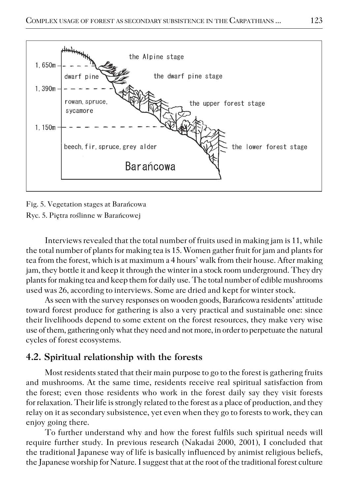

Fig. 5. Vegetation stages at Barańcowa Ryc. 5. Piętra roślinne w Barańcowej

Interviews revealed that the total number of fruits used in making jam is 11, while the total number of plants for making tea is 15. Women gather fruit for jam and plants for tea from the forest, which is at maximum a 4 hours' walk from their house. After making jam, they bottle it and keep it through the winter in a stock room underground. They dry plants for making tea and keep them for daily use. The total number of edible mushrooms used was 26, according to interviews. Some are dried and kept for winter stock.

As seen with the survey responses on wooden goods, Barańcowa residents' attitude toward forest produce for gathering is also a very practical and sustainable one: since their livelihoods depend to some extent on the forest resources, they make very wise use of them, gathering only what they need and not more, in order to perpetuate the natural cycles of forest ecosystems.

#### **4.2. Spiritual relationship with the forests**

Most residents stated that their main purpose to go to the forest is gathering fruits and mushrooms. At the same time, residents receive real spiritual satisfaction from the forest; even those residents who work in the forest daily say they visit forests for relaxation. Their life is strongly related to the forest as a place of production, and they relay on it as secondary subsistence, yet even when they go to forests to work, they can enjoy going there.

To further understand why and how the forest fulfils such spiritual needs will require further study. In previous research (Nakadai 2000, 2001), I concluded that the traditional Japanese way of life is basically influenced by animist religious beliefs, the Japanese worship for Nature. I suggest that at the root of the traditional forest culture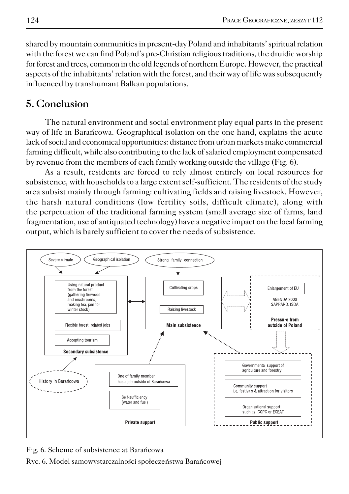shared by mountain communities in present−day Poland and inhabitants' spiritual relation with the forest we can find Poland's pre−Christian religious traditions, the druidic worship for forest and trees, common in the old legends of northern Europe. However, the practical aspects of the inhabitants' relation with the forest, and their way of life was subsequently influenced by transhumant Balkan populations.

### **5. Conclusion**

The natural environment and social environment play equal parts in the present way of life in Barańcowa. Geographical isolation on the one hand, explains the acute lack of social and economical opportunities: distance from urban markets make commercial farming difficult, while also contributing to the lack of salaried employment compensated by revenue from the members of each family working outside the village (Fig. 6).

As a result, residents are forced to rely almost entirely on local resources for subsistence, with households to a large extent self−sufficient. The residents of the study area subsist mainly through farming: cultivating fields and raising livestock. However, the harsh natural conditions (low fertility soils, difficult climate), along with the perpetuation of the traditional farming system (small average size of farms, land fragmentation, use of antiquated technology) have a negative impact on the local farming output, which is barely sufficient to cover the needs of subsistence.



Fig. 6. Scheme of subsistence at Barańcowa

Ryc. 6. Model samowystarczalności społeczeństwa Barańcowej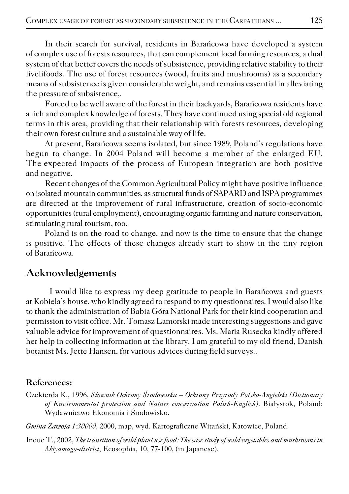In their search for survival, residents in Barańcowa have developed a system of complex use of forests resources, that can complement local farming resources, a dual system of that better covers the needs of subsistence, providing relative stability to their livelifoods. The use of forest resources (wood, fruits and mushrooms) as a secondary means of subsistence is given considerable weight, and remains essential in alleviating the pressure of subsistence,.

Forced to be well aware of the forest in their backyards, Barańcowa residents have a rich and complex knowledge of forests. They have continued using special old regional terms in this area, providing that their relationship with forests resources, developing their own forest culture and a sustainable way of life.

At present, Barańcowa seems isolated, but since 1989, Poland's regulations have begun to change. In 2004 Poland will become a member of the enlarged EU. The expected impacts of the process of European integration are both positive and negative.

Recent changes of the Common Agricultural Policy might have positive influence on isolated mountain communities, as structural funds of SAPARD and ISPA programmes are directed at the improvement of rural infrastructure, creation of socio−economic opportunities (rural employment), encouraging organic farming and nature conservation, stimulating rural tourism, too.

Poland is on the road to change, and now is the time to ensure that the change is positive. The effects of these changes already start to show in the tiny region of Barańcowa.

### **Acknowledgements**

I would like to express my deep gratitude to people in Barańcowa and guests at Kobiela's house, who kindly agreed to respond to my questionnaires. I would also like to thank the administration of Babia Góra National Park for their kind cooperation and permission to visit office. Mr. Tomasz Lamorski made interesting suggestions and gave valuable advice for improvement of questionnaires. Ms. Maria Rusecka kindly offered her help in collecting information at the library. I am grateful to my old friend, Danish botanist Ms. Jette Hansen, for various advices during field surveys..

#### **References:**

Czekierda K., 1996, *Słownik Ochrony Środowiska – Ochrony Przyrody Polsko−Angielski (Dictionary of Environmental protection and Nature conservation Polish−English)*. Białystok, Poland: Wydawnictwo Ekonomia i Środowisko.

*Gmina Zawoja 1:30000*, 2000, map, wyd. Kartograficzne Witański, Katowice, Poland.

Inoue T., 2002, *The transition of wild plant use food: The case study of wild vegetables and mushrooms in Akiyamago−district*, Ecosophia, 10, 77−100, (in Japanese).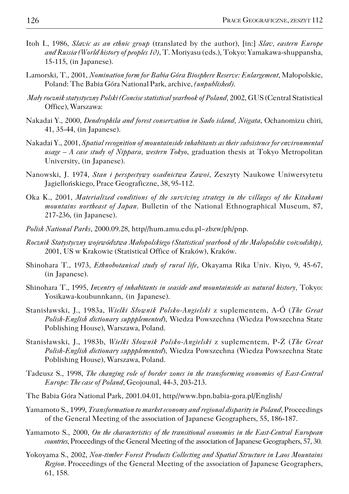- Itoh I., 1986, *Slavic as an ethnic group* (translated by the author), [in:] *Slav, eastern Europe and Russia (World history of peoples 10)*, T. Moriyasu (eds.), Tokyo: Yamakawa−shuppansha, 15−115, (in Japanese).
- Lamorski, T., 2001, *Nomination form for Babia Góra Biosphere Reserve: Enlargement,* Małopolskie, Poland: The Babia Góra National Park, archive, *(unpublished)*.
- *Mały rocznik statystyczny Polski (Concise statistical yearbook of Poland,* 2002, GUS (Central Statistical Office), Warszawa:
- Nakadai Y., 2000, *Dendrophila and forest conservation in Sado island, Niigata*, Ochanomizu chiri, 41, 35−44, (in Japanese).
- Nakadai Y., 2001, *Spatial recognition of mountainside inhabitants as their subsistence for environmental usage – A case study of Nippara, western Tokyo*, graduation thesis at Tokyo Metropolitan University, (in Japanese).
- Nanowski, J. 1974, *Stan i perspectywy osadnictwa Zawoi*, Zeszyty Naukowe Uniwersytetu Jagiellońskiego, Prace Geograficzne, 38, 95−112.
- Oka K., 2001, *Materialized conditions of the surviving strategy in the villages of the Kitakami mountains northeast of Japan*. Bulletin of the National Ethnographical Museum, 87, 217−236, (in Japanese).
- *Polish National Parks*, 2000.09.28, http//hum.amu.edu.pl~zbzw/ph/pnp.
- *Rocznik Statystyczny województwa Małopolskiego (Statistical yearbook of the Malopolskie voivodship),* 2001, US w Krakowie (Statistical Office of Kraków), Kraków.
- Shinohara T., 1973, *Ethnobotanical study of rural life*, Okayama Rika Univ. Kiyo, 9, 45−67, (in Japanese).
- Shinohara T., 1995, *Inventry of inhabitants in seaside and mountainside as natural history,* Tokyo: Yosikawa−koubunnkann, (in Japanese).
- Stanisławski, J., 1983a, *Wielki Słownik Polsko−Angielski* z suplementem, A−Ó (*The Great Polish−English dictionary suppplemented*), Wiedza Powszechna (Wiedza Powszechna State Poblishing House), Warszawa, Poland.
- Stanisławski, J., 1983b, *Wielki Słownik Polsko−Angielski* z suplementem, P−Ż (*The Great Polish−English dictionary suppplemented*), Wiedza Powszechna (Wiedza Powszechna State Poblishing House), Warszawa, Poland.
- Tadeusz S., 1998, *The changing role of border zones in the transforming economies of East−Central Europe: The case of Poland*, Geojounal, 44−3, 203−213.
- The Babia Góra National Park, 2001.04.01, http//www.bpn.babia−gora.pl/English/
- Yamamoto S., 1999, *Transformation to market economy and regional disparity in Poland*, Proceedings of the General Meeting of the association of Japanese Geographers, 55, 186−187.
- Yamamoto S., 2000, *On the characteristics of the transitional economies in the East−Central European countries*, Proceedings of the General Meeting of the association of Japanese Geographers, 57, 30.
- Yokoyama S., 2002, *Non−timber Forest Products Collecting and Spatial Structure in Laos Mountains Region*. Proceedings of the General Meeting of the association of Japanese Geographers, 61, 158.